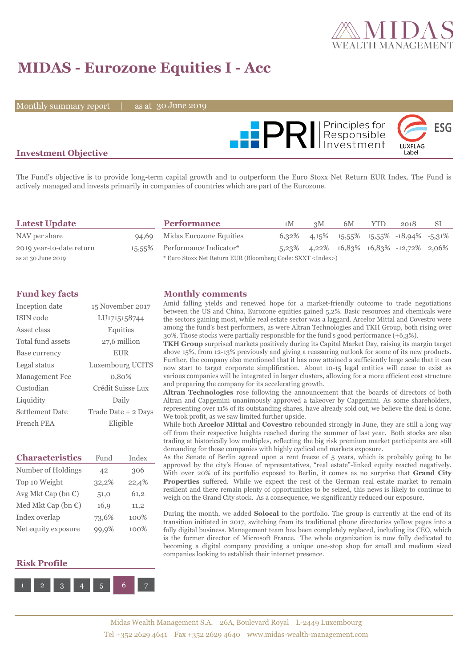

# **MIDAS - Eurozone Equities I - Acc**

Monthly summary report  $\|$ 

30 June 2019



### **Investment Objective**

The Fund's objective is to provide long-term capital growth and to outperform the Euro Stoxx Net Return EUR Index. The Fund is actively managed and invests primarily in companies of countries which are part of the Eurozone.

| <b>Latest Update</b>     | <b>Performance</b>                                                 | 1M | 3M | 6M | <b>YTD</b> | 2018                                                       | SI |
|--------------------------|--------------------------------------------------------------------|----|----|----|------------|------------------------------------------------------------|----|
| NAV per share            | 94,69 Midas Eurozone Equities                                      |    |    |    |            | $6,32\%$ $4,15\%$ $15,55\%$ $15,55\%$ $-18,94\%$ $-5,31\%$ |    |
| 2019 year-to-date return | 15,55% Performance Indicator*                                      |    |    |    |            | $5,23\%$ $4,22\%$ $16,83\%$ $16,83\%$ $-12,72\%$ $2,06\%$  |    |
| as at 30 June 2019       | * Euro Stoxx Net Return EUR (Bloomberg Code: SXXT <index>)</index> |    |    |    |            |                                                            |    |

| Inception date         | 15 November 2017          |
|------------------------|---------------------------|
| ISIN code              | LU <sub>171515</sub> 8744 |
| Asset class            | Equities                  |
| Total fund assets      | 27,6 million              |
| Base currency          | <b>EUR</b>                |
| Legal status           | Luxembourg UCITS          |
| <b>Management Fee</b>  | 0,80%                     |
| Custodian              | Crédit Suisse Lux         |
| Liquidity              | Daily                     |
| <b>Settlement Date</b> | Trade Date + 2 Days       |
| French PEA             | Eligible                  |

| <b>Characteristics</b>         | Fund  | Index |
|--------------------------------|-------|-------|
| Number of Holdings             | 42    | 306   |
| Top 10 Weight                  | 32,2% | 22,4% |
| Avg Mkt Cap (bn $\mathbb{C}$ ) | 51,0  | 61,2  |
| Med Mkt Cap (bn $\epsilon$ )   | 16,9  | 11,2  |
| Index overlap                  | 73,6% | 100%  |
| Net equity exposure            | 99.9% | 100%  |

### **Risk Profile**



#### **Fund key facts Monthly comments**

Amid falling yields and renewed hope for a market-friendly outcome to trade negotiations between the US and China, Eurozone equities gained 5,2%. Basic resources and chemicals were the sectors gaining most, while real estate sector was a laggard. Arcelor Mittal and Covestro were among the fund's best performers, as were Altran Technologies and TKH Group, both rising over 30%. Those stocks were partially responsible for the fund's good performance (+6,3%).

**TKH Group** surprised markets positively during its Capital Market Day, raising its margin target above 15%, from 12-13% previously and giving a reassuring outlook for some of its new products. Further, the company also mentioned that it has now attained a sufficiently large scale that it can now start to target corporate simplification. About 10-15 legal entities will cease to exist as various companies will be integrated in larger clusters, allowing for a more efficient cost structure and preparing the company for its accelerating growth.

**Altran Technologies** rose following the announcement that the boards of directors of both Altran and Capgemini unanimously approved a takeover by Capgemini. As some shareholders, representing over 11% of its outstanding shares, have already sold out, we believe the deal is done. We took profit, as we saw limited further upside.

While both **Arcelor Mittal** and **Covestro** rebounded strongly in June, they are still a long way off from their respective heights reached during the summer of last year. Both stocks are also trading at historically low multiples, reflecting the big risk premium market participants are still demanding for those companies with highly cyclical end markets exposure.

As the Senate of Berlin agreed upon a rent freeze of 5 years, which is probably going to be approved by the city's House of representatives, "real estate"-linked equity reacted negatively. With over 20% of its portfolio exposed to Berlin, it comes as no surprise that **Grand City Properties** suffered. While we expect the rest of the German real estate market to remain resilient and there remain plenty of opportunities to be seized, this news is likely to continue to weigh on the Grand City stock. As a consequence, we significantly reduced our exposure.

During the month, we added **Solocal** to the portfolio. The group is currently at the end of its transition initiated in 2017, switching from its traditional phone directories yellow pages into a fully digital business. Management team has been completely replaced, including its CEO, which is the former director of Microsoft France. The whole organization is now fully dedicated to becoming a digital company providing a unique one-stop shop for small and medium sized companies looking to establish their internet presence.